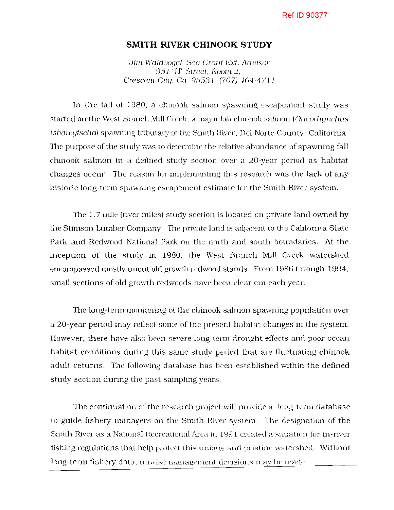## **SMITH RIVER CHINOOK STUDY**

Jim Waldvoael, Sea Grant Ext. Advisor 981 "H" Street, Room 2. Crescent City, Ca. 95531 (707) 464-4711

In the fall of 1980, a chinook salmon spawning escapement study was started on the West Branch Mill Creek. a major fall chinook salmon (Oncorhynchus tshawytscha) spawning tributary of the Smith River, Del Norte County, California. The purpose of the study was to determine the relative abundance of spawning fall chinook salmon in a defined study section over a 20-year period as habitat changes occur. The reason for implementing this research was the lack of any historic long-term spawning escapement estimate for the Smith River system.

The 1.7 mile (river miles) study section is located on private land owned by the Stimson Lumber Company. The private land is adjacent to the California State Park and Redwood National Park on the north and south boundaries. At the inception of the study in 1980, the West Branch Mill Creek watershed encompassed mostly uncut old growth redwood stands. From 1986 through 1994, small sections of old growth redwoods have been clear cut each year.

The long-term monitoring of the chinook salmon spawning population over a 20-year- period may reflect some of the present habitat changes in the system. However, there have also been severe long-term drought effects and poor ocean habitat conditions during this same study period that are fluctuating chinook adult returns. The following database has been established within the defined study section during the past sampling years.

The continuation of the research project will provide a long-term database to guide fishery managers on the Smith River system. The designation of the Smith River as a National Recreational Area in 1991 created a situation for in-river fishing regulations that help protect this unique and pristine watershed. Without long-term fishery data, unwise management decisions may be made